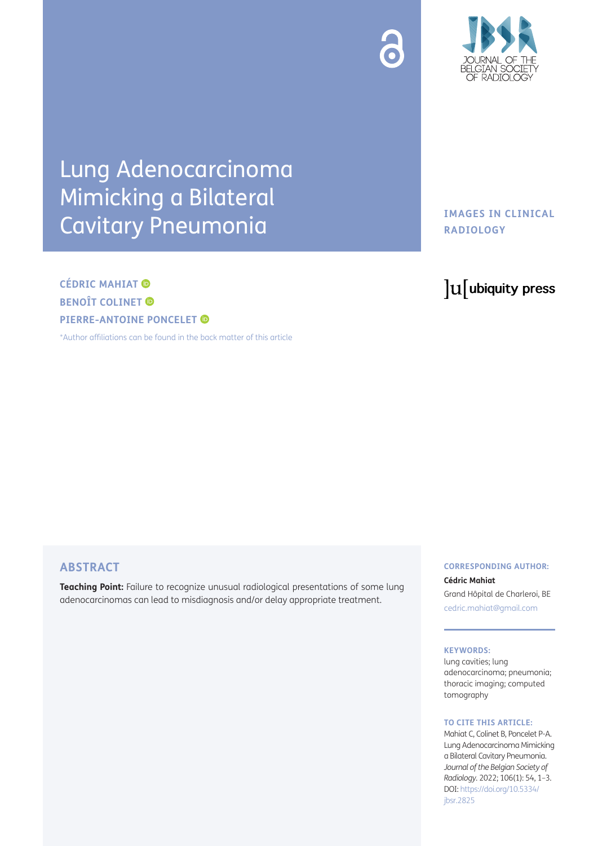



# Lung Adenocarcinoma Mimicking a Bilateral Cavitary Pneumonia

# **CÉDRIC MAHIAT BENOÎT COLINET ® PIERRE-ANTOINEPONCELET**

[\\*Author affiliations can be found in the back matter of this article](#page-2-0)

# **IMAGES IN CLINICAL RADIOLOGY**

# lu ubiquity press

# **ABSTRACT**

**Teaching Point:** Failure to recognize unusual radiological presentations of some lung adenocarcinomas can lead to misdiagnosis and/or delay appropriate treatment.

# **CORRESPONDING AUTHOR:**

### **Cédric Mahiat**

Grand Hôpital de Charleroi, BE [cedric.mahiat@gmail.com](mailto:cedric.mahiat@gmail.com)

#### **KEYWORDS:**

lung cavities; lung adenocarcinoma; pneumonia; thoracic imaging; computed tomography

#### **TO CITE THIS ARTICLE:**

Mahiat C, Colinet B, Poncelet P-A. Lung Adenocarcinoma Mimicking a Bilateral Cavitary Pneumonia. *Journal of the Belgian Society of Radiology.* 2022; 106(1): 54, 1–3. DOI: [https://doi.org/10.5334/](https://doi.org/10.5334/jbsr.2825) [jbsr.2825](https://doi.org/10.5334/jbsr.2825)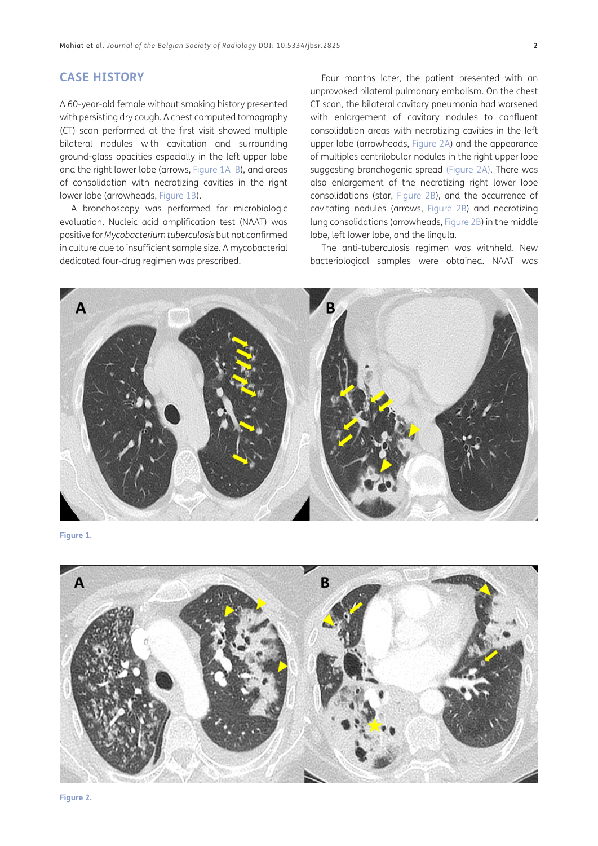# **CASE HISTORY**

A 60-year-old female without smoking history presented with persisting dry cough. A chest computed tomography (CT) scan performed at the first visit showed multiple bilateral nodules with cavitation and surrounding ground-glass opacities especially in the left upper lobe and the right lower lobe (arrows, [Figure 1A–B\)](#page-1-0), and areas of consolidation with necrotizing cavities in the right lower lobe (arrowheads, [Figure 1B\)](#page-1-0).

A bronchoscopy was performed for microbiologic evaluation. Nucleic acid amplification test (NAAT) was positive for *Mycobacterium tuberculosis* but not confirmed in culture due to insufficient sample size. A mycobacterial dedicated four-drug regimen was prescribed.

Four months later, the patient presented with an unprovoked bilateral pulmonary embolism. On the chest CT scan, the bilateral cavitary pneumonia had worsened with enlargement of cavitary nodules to confluent consolidation areas with necrotizing cavities in the left upper lobe (arrowheads, [Figure 2A\)](#page-1-1) and the appearance of multiples centrilobular nodules in the right upper lobe suggesting bronchogenic spread [\(Figure 2A\)](#page-1-1). There was also enlargement of the necrotizing right lower lobe consolidations (star, [Figure 2B\)](#page-1-1), and the occurrence of cavitating nodules (arrows, [Figure 2B\)](#page-1-1) and necrotizing lung consolidations (arrowheads, [Figure 2B](#page-1-1)) in the middle lobe, left lower lobe, and the lingula.

The anti-tuberculosis regimen was withheld. New bacteriological samples were obtained. NAAT was



<span id="page-1-0"></span>**Figure 1.**



<span id="page-1-1"></span>**Figure 2.**